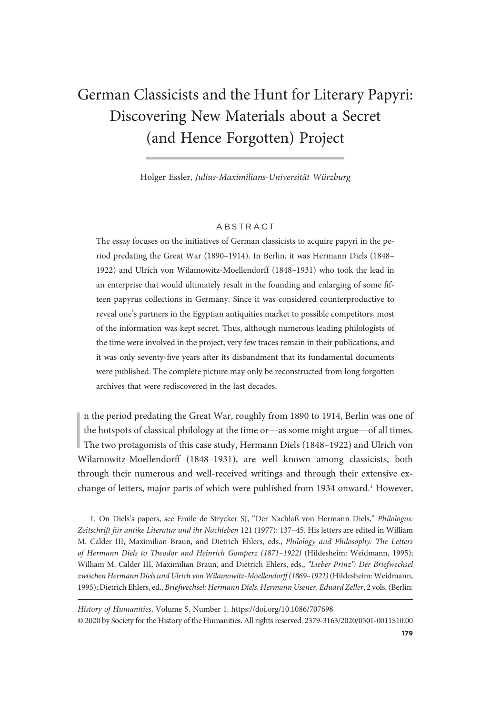# German Classicists and the Hunt for Literary Papyri: Discovering New Materials about a Secret (and Hence Forgotten) Project

Holger Essler, Julius-Maximilians-Universität Würzburg

### ABSTRACT

The essay focuses on the initiatives of German classicists to acquire papyri in the period predating the Great War (1890–1914). In Berlin, it was Hermann Diels (1848– 1922) and Ulrich von Wilamowitz-Moellendorff (1848–1931) who took the lead in an enterprise that would ultimately result in the founding and enlarging of some fifteen papyrus collections in Germany. Since it was considered counterproductive to reveal one's partners in the Egyptian antiquities market to possible competitors, most of the information was kept secret. Thus, although numerous leading philologists of the time were involved in the project, very few traces remain in their publications, and it was only seventy-five years after its disbandment that its fundamental documents were published. The complete picture may only be reconstructed from long forgotten archives that were rediscovered in the last decades.

In the period predating the Great War, roughly from 1890 to 1914, Berlin was one of<br>the hotspots of classical philology at the time or—as some might argue—of all times.<br>The two protagonists of this case study, Hermann Diel n the period predating the Great War, roughly from 1890 to 1914, Berlin was one of the hotspots of classical philology at the time or—as some might argue—of all times. Wilamowitz-Moellendorff (1848–1931), are well known among classicists, both through their numerous and well-received writings and through their extensive exchange of letters, major parts of which were published from 1934 onward.<sup>1</sup> However,

1. On Diels's papers, see Emile de Strycker SJ, "Der Nachlaß von Hermann Diels," Philologus: Zeitschrift für antike Literatur und ihr Nachleben 121 (1977): 137–45. His letters are edited in William M. Calder III, Maximilian Braun, and Dietrich Ehlers, eds., Philology and Philosophy: The Letters of Hermann Diels to Theodor and Heinrich Gomperz (1871–1922) (Hildesheim: Weidmann, 1995); William M. Calder III, Maximilian Braun, and Dietrich Ehlers, eds., "Lieber Prinz": Der Briefwechsel zwischen Hermann Diels und Ulrich von Wilamowitz-Moellendorff (1869–1921)(Hildesheim: Weidmann, 1995); Dietrich Ehlers, ed., Briefwechsel: Hermann Diels, Hermann Usener, Eduard Zeller, 2 vols. (Berlin:

History of Humanities, Volume 5, Number 1. https://doi.org/10.1086/707698 © 2020 by Society for the History of the Humanities. All rights reserved. 2379-3163/2020/0501-0011\$10.00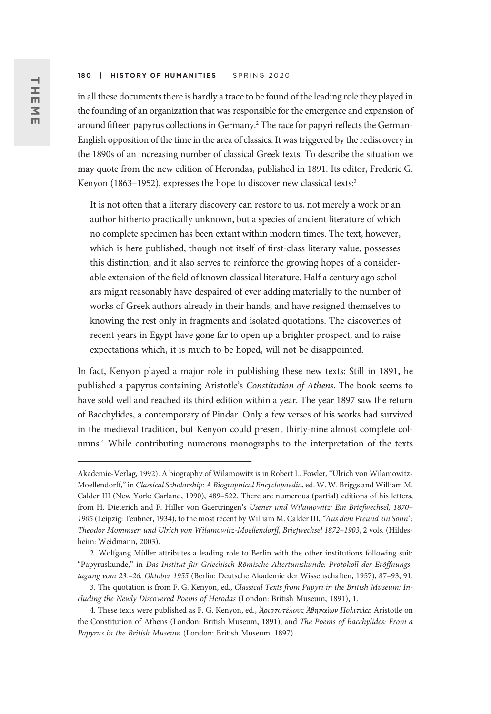in all these documents there is hardly a trace to be found of the leading role they played in the founding of an organization that was responsible for the emergence and expansion of around fifteen papyrus collections in Germany.2 The race for papyri reflects the German-English opposition of the time in the area of classics. It was triggered by the rediscovery in the 1890s of an increasing number of classical Greek texts. To describe the situation we may quote from the new edition of Herondas, published in 1891. Its editor, Frederic G. Kenyon (1863-1952), expresses the hope to discover new classical texts:<sup>3</sup>

It is not often that a literary discovery can restore to us, not merely a work or an author hitherto practically unknown, but a species of ancient literature of which no complete specimen has been extant within modern times. The text, however, which is here published, though not itself of first-class literary value, possesses this distinction; and it also serves to reinforce the growing hopes of a considerable extension of the field of known classical literature. Half a century ago scholars might reasonably have despaired of ever adding materially to the number of works of Greek authors already in their hands, and have resigned themselves to knowing the rest only in fragments and isolated quotations. The discoveries of recent years in Egypt have gone far to open up a brighter prospect, and to raise expectations which, it is much to be hoped, will not be disappointed.

In fact, Kenyon played a major role in publishing these new texts: Still in 1891, he published a papyrus containing Aristotle's Constitution of Athens. The book seems to have sold well and reached its third edition within a year. The year 1897 saw the return of Bacchylides, a contemporary of Pindar. Only a few verses of his works had survived in the medieval tradition, but Kenyon could present thirty-nine almost complete columns.<sup>4</sup> While contributing numerous monographs to the interpretation of the texts

Akademie-Verlag, 1992). A biography of Wilamowitz is in Robert L. Fowler, "Ulrich von Wilamowitz-Moellendorff,"in Classical Scholarship: A Biographical Encyclopaedia, ed. W. W. Briggs and William M. Calder III (New York: Garland, 1990), 489–522. There are numerous (partial) editions of his letters, from H. Dieterich and F. Hiller von Gaertringen's Usener und Wilamowitz: Ein Briefwechsel, 1870– 1905 (Leipzig: Teubner, 1934), to the most recent by William M. Calder III, "Aus dem Freund ein Sohn": Theodor Mommsen und Ulrich von Wilamowitz-Moellendorff, Briefwechsel 1872–1903, 2 vols. (Hildesheim: Weidmann, 2003).

<sup>2.</sup> Wolfgang Müller attributes a leading role to Berlin with the other institutions following suit: "Papyruskunde," in Das Institut für Griechisch-Römische Altertumskunde: Protokoll der Eröffnungstagung vom 23.–26. Oktober 1955 (Berlin: Deutsche Akademie der Wissenschaften, 1957), 87–93, 91.

<sup>3.</sup> The quotation is from F. G. Kenyon, ed., Classical Texts from Papyri in the British Museum: Including the Newly Discovered Poems of Herodas (London: British Museum, 1891), 1.

<sup>4.</sup> These texts were published as F. G. Kenyon, ed., Άριστοτέλους Άθηναίων Πολιτεία: Aristotle on the Constitution of Athens (London: British Museum, 1891), and The Poems of Bacchylides: From a Papyrus in the British Museum (London: British Museum, 1897).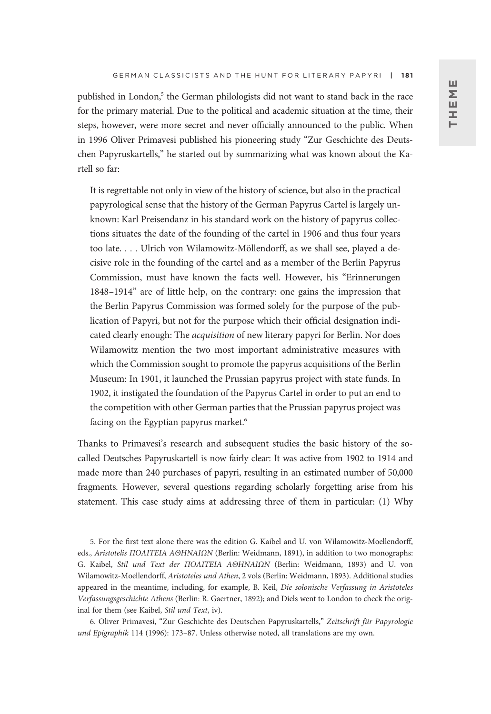published in London,<sup>5</sup> the German philologists did not want to stand back in the race for the primary material. Due to the political and academic situation at the time, their steps, however, were more secret and never officially announced to the public. When in 1996 Oliver Primavesi published his pioneering study "Zur Geschichte des Deutschen Papyruskartells," he started out by summarizing what was known about the Kartell so far:

It is regrettable not only in view of the history of science, but also in the practical papyrological sense that the history of the German Papyrus Cartel is largely unknown: Karl Preisendanz in his standard work on the history of papyrus collections situates the date of the founding of the cartel in 1906 and thus four years too late. ... Ulrich von Wilamowitz-Möllendorff, as we shall see, played a decisive role in the founding of the cartel and as a member of the Berlin Papyrus Commission, must have known the facts well. However, his "Erinnerungen 1848–1914" are of little help, on the contrary: one gains the impression that the Berlin Papyrus Commission was formed solely for the purpose of the publication of Papyri, but not for the purpose which their official designation indicated clearly enough: The *acquisition* of new literary papyri for Berlin. Nor does Wilamowitz mention the two most important administrative measures with which the Commission sought to promote the papyrus acquisitions of the Berlin Museum: In 1901, it launched the Prussian papyrus project with state funds. In 1902, it instigated the foundation of the Papyrus Cartel in order to put an end to the competition with other German parties that the Prussian papyrus project was facing on the Egyptian papyrus market.<sup>6</sup>

Thanks to Primavesi's research and subsequent studies the basic history of the socalled Deutsches Papyruskartell is now fairly clear: It was active from 1902 to 1914 and made more than 240 purchases of papyri, resulting in an estimated number of 50,000 fragments. However, several questions regarding scholarly forgetting arise from his statement. This case study aims at addressing three of them in particular: (1) Why

<sup>5.</sup> For the first text alone there was the edition G. Kaibel and U. von Wilamowitz-Moellendorff, eds., Aristotelis ΠΟΛΙΤΕΙΑ ΑΘΗΝΑΙΩΝ (Berlin: Weidmann, 1891), in addition to two monographs: G. Kaibel, Stil und Text der ΠΟΛΙΤΕΙΑ ΑΘΗΝΑΙΩΝ (Berlin: Weidmann, 1893) and U. von Wilamowitz-Moellendorff, Aristoteles und Athen, 2 vols (Berlin: Weidmann, 1893). Additional studies appeared in the meantime, including, for example, B. Keil, Die solonische Verfassung in Aristoteles Verfassungsgeschichte Athens (Berlin: R. Gaertner, 1892); and Diels went to London to check the original for them (see Kaibel, Stil und Text, iv).

<sup>6.</sup> Oliver Primavesi, "Zur Geschichte des Deutschen Papyruskartells," Zeitschrift für Papyrologie und Epigraphik 114 (1996): 173–87. Unless otherwise noted, all translations are my own.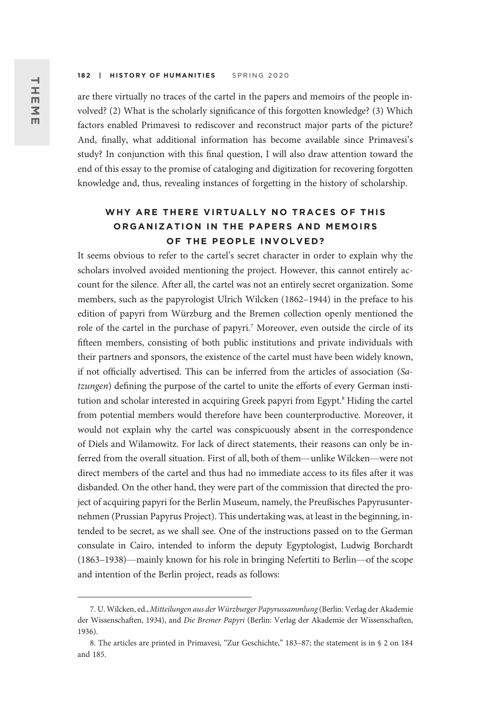are there virtually no traces of the cartel in the papers and memoirs of the people involved? (2) What is the scholarly significance of this forgotten knowledge? (3) Which factors enabled Primavesi to rediscover and reconstruct major parts of the picture? And, finally, what additional information has become available since Primavesi's study? In conjunction with this final question, I will also draw attention toward the end of this essay to the promise of cataloging and digitization for recovering forgotten knowledge and, thus, revealing instances of forgetting in the history of scholarship.

## WHY ARE THERE VIRTUALLY NO TRACES OF THIS ORGANIZATION IN THE PAPERS AND MEMOIRS OF THE PEOPLE INVOLVED?

It seems obvious to refer to the cartel's secret character in order to explain why the scholars involved avoided mentioning the project. However, this cannot entirely account for the silence. After all, the cartel was not an entirely secret organization. Some members, such as the papyrologist Ulrich Wilcken (1862–1944) in the preface to his edition of papyri from Würzburg and the Bremen collection openly mentioned the role of the cartel in the purchase of papyri.<sup>7</sup> Moreover, even outside the circle of its fifteen members, consisting of both public institutions and private individuals with their partners and sponsors, the existence of the cartel must have been widely known, if not officially advertised. This can be inferred from the articles of association (Satzungen) defining the purpose of the cartel to unite the efforts of every German institution and scholar interested in acquiring Greek papyri from Egypt.<sup>8</sup> Hiding the cartel from potential members would therefore have been counterproductive. Moreover, it would not explain why the cartel was conspicuously absent in the correspondence of Diels and Wilamowitz. For lack of direct statements, their reasons can only be inferred from the overall situation. First of all, both of them—unlike Wilcken—were not direct members of the cartel and thus had no immediate access to its files after it was disbanded. On the other hand, they were part of the commission that directed the project of acquiring papyri for the Berlin Museum, namely, the Preußisches Papyrusunternehmen (Prussian Papyrus Project). This undertaking was, at least in the beginning, intended to be secret, as we shall see. One of the instructions passed on to the German consulate in Cairo, intended to inform the deputy Egyptologist, Ludwig Borchardt (1863–1938)—mainly known for his role in bringing Nefertiti to Berlin—of the scope and intention of the Berlin project, reads as follows:

<sup>7.</sup> U. Wilcken, ed., Mitteilungen aus der Würzburger Papyrussammlung (Berlin: Verlag der Akademie der Wissenschaften, 1934), and Die Bremer Papyri (Berlin: Verlag der Akademie der Wissenschaften, 1936).

<sup>8.</sup> The articles are printed in Primavesi, "Zur Geschichte," 183-87; the statement is in § 2 on 184 and 185.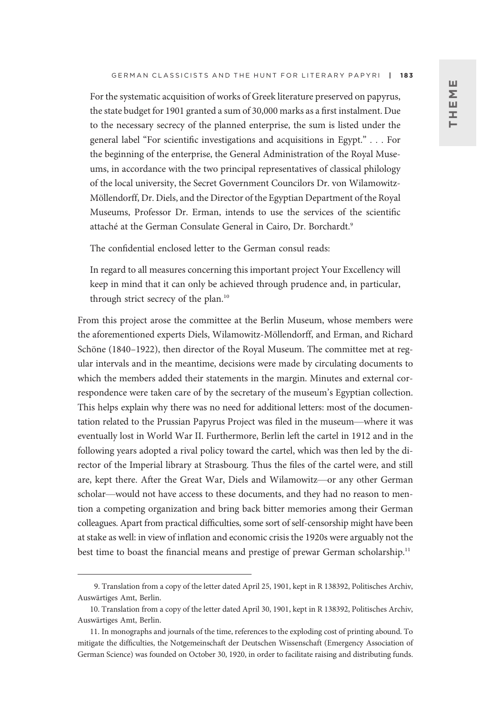For the systematic acquisition of works of Greek literature preserved on papyrus, the state budget for 1901 granted a sum of 30,000 marks as a first instalment. Due to the necessary secrecy of the planned enterprise, the sum is listed under the general label "For scientific investigations and acquisitions in Egypt." ... For the beginning of the enterprise, the General Administration of the Royal Museums, in accordance with the two principal representatives of classical philology of the local university, the Secret Government Councilors Dr. von Wilamowitz-Möllendorff, Dr. Diels, and the Director of the Egyptian Department of the Royal Museums, Professor Dr. Erman, intends to use the services of the scientific attaché at the German Consulate General in Cairo, Dr. Borchardt.<sup>9</sup>

The confidential enclosed letter to the German consul reads:

In regard to all measures concerning this important project Your Excellency will keep in mind that it can only be achieved through prudence and, in particular, through strict secrecy of the plan.<sup>10</sup>

From this project arose the committee at the Berlin Museum, whose members were the aforementioned experts Diels, Wilamowitz-Möllendorff, and Erman, and Richard Schöne (1840–1922), then director of the Royal Museum. The committee met at regular intervals and in the meantime, decisions were made by circulating documents to which the members added their statements in the margin. Minutes and external correspondence were taken care of by the secretary of the museum's Egyptian collection. This helps explain why there was no need for additional letters: most of the documentation related to the Prussian Papyrus Project was filed in the museum—where it was eventually lost in World War II. Furthermore, Berlin left the cartel in 1912 and in the following years adopted a rival policy toward the cartel, which was then led by the director of the Imperial library at Strasbourg. Thus the files of the cartel were, and still are, kept there. After the Great War, Diels and Wilamowitz—or any other German scholar—would not have access to these documents, and they had no reason to mention a competing organization and bring back bitter memories among their German colleagues. Apart from practical difficulties, some sort of self-censorship might have been at stake as well: in view of inflation and economic crisis the 1920s were arguably not the best time to boast the financial means and prestige of prewar German scholarship.<sup>11</sup>

<sup>9.</sup> Translation from a copy of the letter dated April 25, 1901, kept in R 138392, Politisches Archiv, Auswärtiges Amt, Berlin.

<sup>10.</sup> Translation from a copy of the letter dated April 30, 1901, kept in R 138392, Politisches Archiv, Auswärtiges Amt, Berlin.

<sup>11.</sup> In monographs and journals of the time, references to the exploding cost of printing abound. To mitigate the difficulties, the Notgemeinschaft der Deutschen Wissenschaft (Emergency Association of German Science) was founded on October 30, 1920, in order to facilitate raising and distributing funds.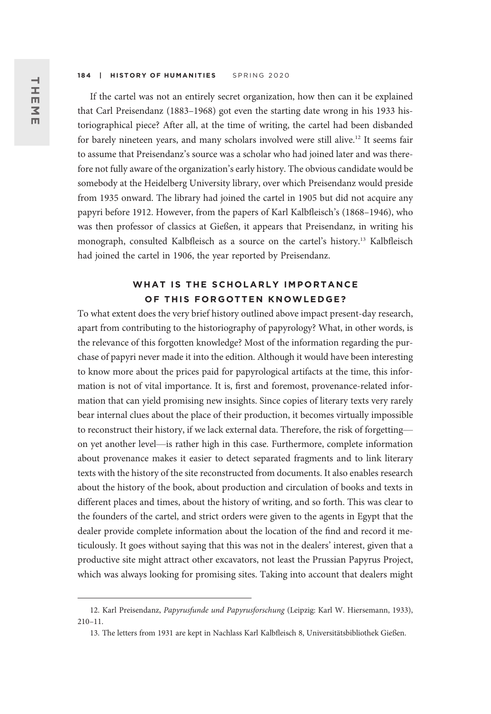If the cartel was not an entirely secret organization, how then can it be explained that Carl Preisendanz (1883–1968) got even the starting date wrong in his 1933 historiographical piece? After all, at the time of writing, the cartel had been disbanded for barely nineteen years, and many scholars involved were still alive.<sup>12</sup> It seems fair to assume that Preisendanz's source was a scholar who had joined later and was therefore not fully aware of the organization's early history. The obvious candidate would be somebody at the Heidelberg University library, over which Preisendanz would preside from 1935 onward. The library had joined the cartel in 1905 but did not acquire any papyri before 1912. However, from the papers of Karl Kalbfleisch's (1868–1946), who was then professor of classics at Gießen, it appears that Preisendanz, in writing his monograph, consulted Kalbfleisch as a source on the cartel's history.13 Kalbfleisch had joined the cartel in 1906, the year reported by Preisendanz.

### WHAT IS THE SCHOLARLY IMPORTANCE OF THIS FORGOTTEN KNOWLEDGE?

To what extent does the very brief history outlined above impact present-day research, apart from contributing to the historiography of papyrology? What, in other words, is the relevance of this forgotten knowledge? Most of the information regarding the purchase of papyri never made it into the edition. Although it would have been interesting to know more about the prices paid for papyrological artifacts at the time, this information is not of vital importance. It is, first and foremost, provenance-related information that can yield promising new insights. Since copies of literary texts very rarely bear internal clues about the place of their production, it becomes virtually impossible to reconstruct their history, if we lack external data. Therefore, the risk of forgetting on yet another level—is rather high in this case. Furthermore, complete information about provenance makes it easier to detect separated fragments and to link literary texts with the history of the site reconstructed from documents. It also enables research about the history of the book, about production and circulation of books and texts in different places and times, about the history of writing, and so forth. This was clear to the founders of the cartel, and strict orders were given to the agents in Egypt that the dealer provide complete information about the location of the find and record it meticulously. It goes without saying that this was not in the dealers' interest, given that a productive site might attract other excavators, not least the Prussian Papyrus Project, which was always looking for promising sites. Taking into account that dealers might

<sup>12.</sup> Karl Preisendanz, Papyrusfunde und Papyrusforschung (Leipzig: Karl W. Hiersemann, 1933), 210–11.

<sup>13.</sup> The letters from 1931 are kept in Nachlass Karl Kalbfleisch 8, Universitätsbibliothek Gießen.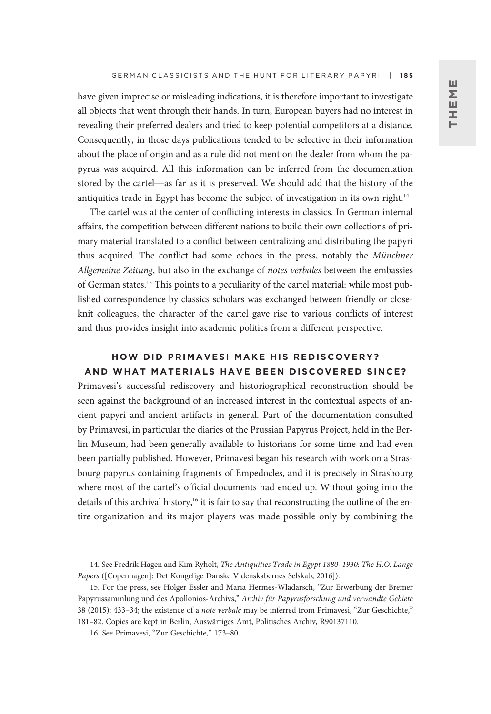have given imprecise or misleading indications, it is therefore important to investigate all objects that went through their hands. In turn, European buyers had no interest in revealing their preferred dealers and tried to keep potential competitors at a distance. Consequently, in those days publications tended to be selective in their information about the place of origin and as a rule did not mention the dealer from whom the papyrus was acquired. All this information can be inferred from the documentation stored by the cartel—as far as it is preserved. We should add that the history of the antiquities trade in Egypt has become the subject of investigation in its own right.<sup>14</sup>

The cartel was at the center of conflicting interests in classics. In German internal affairs, the competition between different nations to build their own collections of primary material translated to a conflict between centralizing and distributing the papyri thus acquired. The conflict had some echoes in the press, notably the Münchner Allgemeine Zeitung, but also in the exchange of notes verbales between the embassies of German states.15 This points to a peculiarity of the cartel material: while most published correspondence by classics scholars was exchanged between friendly or closeknit colleagues, the character of the cartel gave rise to various conflicts of interest and thus provides insight into academic politics from a different perspective.

### HOW DID PRIMAVESI MAKE HIS REDISCOVERY? AND WHAT MATERIALS HAVE BEEN DISCOVERED SINCE?

Primavesi's successful rediscovery and historiographical reconstruction should be seen against the background of an increased interest in the contextual aspects of ancient papyri and ancient artifacts in general. Part of the documentation consulted by Primavesi, in particular the diaries of the Prussian Papyrus Project, held in the Berlin Museum, had been generally available to historians for some time and had even been partially published. However, Primavesi began his research with work on a Strasbourg papyrus containing fragments of Empedocles, and it is precisely in Strasbourg where most of the cartel's official documents had ended up. Without going into the details of this archival history,<sup>16</sup> it is fair to say that reconstructing the outline of the entire organization and its major players was made possible only by combining the

<sup>14.</sup> See Fredrik Hagen and Kim Ryholt, The Antiquities Trade in Egypt 1880–1930: The H.O. Lange Papers ([Copenhagen]: Det Kongelige Danske Videnskabernes Selskab, 2016]).

<sup>15.</sup> For the press, see Holger Essler and Maria Hermes-Wladarsch, "Zur Erwerbung der Bremer Papyrussammlung und des Apollonios-Archivs," Archiv für Papyrusforschung und verwandte Gebiete 38 (2015): 433–34; the existence of a note verbale may be inferred from Primavesi, "Zur Geschichte," 181–82. Copies are kept in Berlin, Auswärtiges Amt, Politisches Archiv, R90137110.

<sup>16.</sup> See Primavesi, "Zur Geschichte," 173–80.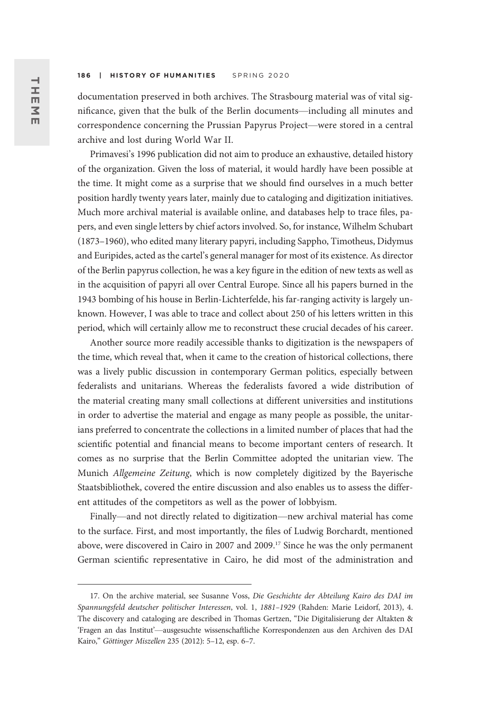documentation preserved in both archives. The Strasbourg material was of vital significance, given that the bulk of the Berlin documents—including all minutes and correspondence concerning the Prussian Papyrus Project—were stored in a central archive and lost during World War II.

Primavesi's 1996 publication did not aim to produce an exhaustive, detailed history of the organization. Given the loss of material, it would hardly have been possible at the time. It might come as a surprise that we should find ourselves in a much better position hardly twenty years later, mainly due to cataloging and digitization initiatives. Much more archival material is available online, and databases help to trace files, papers, and even single letters by chief actors involved. So, for instance, Wilhelm Schubart (1873–1960), who edited many literary papyri, including Sappho, Timotheus, Didymus and Euripides, acted as the cartel's general manager for most of its existence. As director of the Berlin papyrus collection, he was a key figure in the edition of new texts as well as in the acquisition of papyri all over Central Europe. Since all his papers burned in the 1943 bombing of his house in Berlin-Lichterfelde, his far-ranging activity is largely unknown. However, I was able to trace and collect about 250 of his letters written in this period, which will certainly allow me to reconstruct these crucial decades of his career.

Another source more readily accessible thanks to digitization is the newspapers of the time, which reveal that, when it came to the creation of historical collections, there was a lively public discussion in contemporary German politics, especially between federalists and unitarians. Whereas the federalists favored a wide distribution of the material creating many small collections at different universities and institutions in order to advertise the material and engage as many people as possible, the unitarians preferred to concentrate the collections in a limited number of places that had the scientific potential and financial means to become important centers of research. It comes as no surprise that the Berlin Committee adopted the unitarian view. The Munich Allgemeine Zeitung, which is now completely digitized by the Bayerische Staatsbibliothek, covered the entire discussion and also enables us to assess the different attitudes of the competitors as well as the power of lobbyism.

Finally—and not directly related to digitization—new archival material has come to the surface. First, and most importantly, the files of Ludwig Borchardt, mentioned above, were discovered in Cairo in 2007 and 2009.17 Since he was the only permanent German scientific representative in Cairo, he did most of the administration and

<sup>17.</sup> On the archive material, see Susanne Voss, Die Geschichte der Abteilung Kairo des DAI im Spannungsfeld deutscher politischer Interessen, vol. 1, 1881–1929 (Rahden: Marie Leidorf, 2013), 4. The discovery and cataloging are described in Thomas Gertzen, "Die Digitalisierung der Altakten & 'Fragen an das Institut'—ausgesuchte wissenschaftliche Korrespondenzen aus den Archiven des DAI Kairo," Göttinger Miszellen 235 (2012): 5–12, esp. 6–7.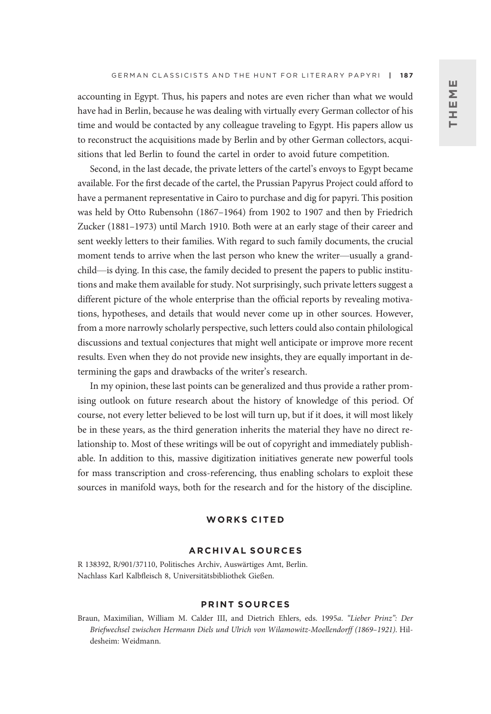accounting in Egypt. Thus, his papers and notes are even richer than what we would have had in Berlin, because he was dealing with virtually every German collector of his time and would be contacted by any colleague traveling to Egypt. His papers allow us to reconstruct the acquisitions made by Berlin and by other German collectors, acquisitions that led Berlin to found the cartel in order to avoid future competition.

Second, in the last decade, the private letters of the cartel's envoys to Egypt became available. For the first decade of the cartel, the Prussian Papyrus Project could afford to have a permanent representative in Cairo to purchase and dig for papyri. This position was held by Otto Rubensohn (1867–1964) from 1902 to 1907 and then by Friedrich Zucker (1881–1973) until March 1910. Both were at an early stage of their career and sent weekly letters to their families. With regard to such family documents, the crucial moment tends to arrive when the last person who knew the writer—usually a grandchild—is dying. In this case, the family decided to present the papers to public institutions and make them available for study. Not surprisingly, such private letters suggest a different picture of the whole enterprise than the official reports by revealing motivations, hypotheses, and details that would never come up in other sources. However, from a more narrowly scholarly perspective, such letters could also contain philological discussions and textual conjectures that might well anticipate or improve more recent results. Even when they do not provide new insights, they are equally important in determining the gaps and drawbacks of the writer's research.

In my opinion, these last points can be generalized and thus provide a rather promising outlook on future research about the history of knowledge of this period. Of course, not every letter believed to be lost will turn up, but if it does, it will most likely be in these years, as the third generation inherits the material they have no direct relationship to. Most of these writings will be out of copyright and immediately publishable. In addition to this, massive digitization initiatives generate new powerful tools for mass transcription and cross-referencing, thus enabling scholars to exploit these sources in manifold ways, both for the research and for the history of the discipline.

### WORKS CITED

### ARCHIVAL SOURCES

R 138392, R/901/37110, Politisches Archiv, Auswärtiges Amt, Berlin. Nachlass Karl Kalbfleisch 8, Universitätsbibliothek Gießen.

### PRINT SOURCES

Braun, Maximilian, William M. Calder III, and Dietrich Ehlers, eds. 1995a. "Lieber Prinz": Der Briefwechsel zwischen Hermann Diels und Ulrich von Wilamowitz-Moellendorff (1869–1921). Hildesheim: Weidmann.